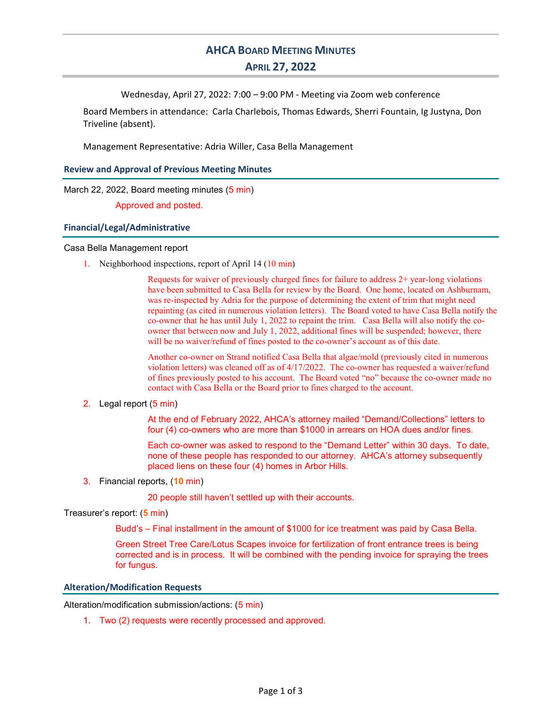# **AHCA BOARD MEETING MINUTES** APRIL 27, 2022

Wednesday, April 27, 2022: 7:00 – 9:00 PM - Meeting via Zoom web conference

Board Members in attendance: Carla Charlebois, Thomas Edwards, Sherri Fountain, Ig Justyna, Don Triveline (absent).

Management Representative: Adria Willer, Casa Bella Management

## Review and Approval of Previous Meeting Minutes

March 22, 2022, Board meeting minutes (5 min)

Approved and posted.

#### Financial/Legal/Administrative

#### Casa Bella Management report

1. Neighborhood inspections, report of April 14 (10 min)

Requests for waiver of previously charged fines for failure to address 2+ year-long violations have been submitted to Casa Bella for review by the Board. One home, located on Ashburnam, was re-inspected by Adria for the purpose of determining the extent of trim that might need repainting (as cited in numerous violation letters). The Board voted to have Casa Bella notify the co-owner that he has until July 1, 2022 to repaint the trim. Casa Bella will also notify the coowner that between now and July 1, 2022, additional fines will be suspended; however, there will be no waiver/refund of fines posted to the co-owner's account as of this date.

Another co-owner on Strand notified Casa Bella that algae/mold (previously cited in numerous violation letters) was cleaned off as of 4/17/2022. The co-owner has requested a waiver/refund of fines previously posted to his account. The Board voted "no" because the co-owner made no contact with Casa Bella or the Board prior to fines charged to the account.

# 2. Legal report (5 min)

At the end of February 2022, AHCA's attorney mailed "Demand/Collections" letters to four (4) co-owners who are more than \$1000 in arrears on HOA dues and/or fines.

Each co-owner was asked to respond to the "Demand Letter" within 30 days. To date, none of these people has responded to our attorney. AHCA's attorney subsequently placed liens on these four (4) homes in Arbor Hills.

3. Financial reports, (10 min)

20 people still haven't settled up with their accounts.

# Treasurer's report: (5 min)

Budd's – Final installment in the amount of \$1000 for ice treatment was paid by Casa Bella.

Green Street Tree Care/Lotus Scapes invoice for fertilization of front entrance trees is being corrected and is in process. It will be combined with the pending invoice for spraying the trees for fungus.

#### Alteration/Modification Requests

Alteration/modification submission/actions: (5 min)

1. Two (2) requests were recently processed and approved.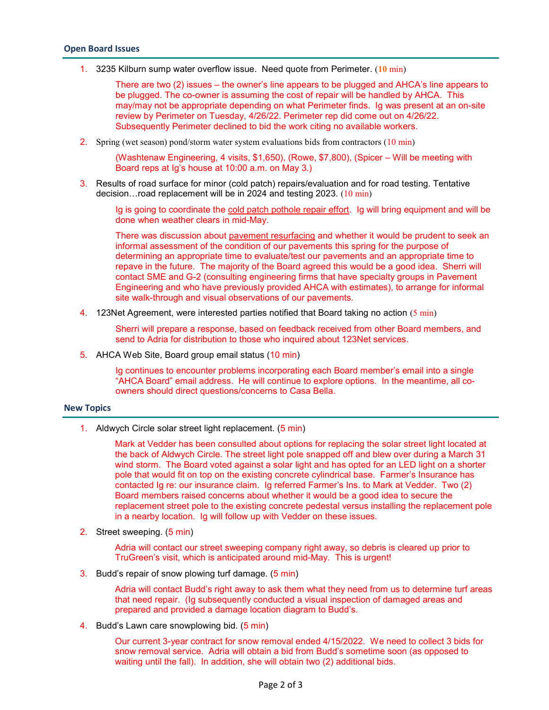1. 3235 Kilburn sump water overflow issue. Need quote from Perimeter.  $(10 \text{ min})$ 

There are two (2) issues – the owner's line appears to be plugged and AHCA's line appears to be plugged. The co-owner is assuming the cost of repair will be handled by AHCA. This may/may not be appropriate depending on what Perimeter finds. Ig was present at an on-site review by Perimeter on Tuesday, 4/26/22. Perimeter rep did come out on 4/26/22. Subsequently Perimeter declined to bid the work citing no available workers.

2. Spring (wet season) pond/storm water system evaluations bids from contractors (10 min)

(Washtenaw Engineering, 4 visits, \$1,650), (Rowe, \$7,800), (Spicer – Will be meeting with Board reps at Ig's house at 10:00 a.m. on May 3.)

3. Results of road surface for minor (cold patch) repairs/evaluation and for road testing. Tentative decision…road replacement will be in 2024 and testing 2023. (10 min)

Ig is going to coordinate the cold patch pothole repair effort. Ig will bring equipment and will be done when weather clears in mid-May.

There was discussion about pavement resurfacing and whether it would be prudent to seek an informal assessment of the condition of our pavements this spring for the purpose of determining an appropriate time to evaluate/test our pavements and an appropriate time to repave in the future. The majority of the Board agreed this would be a good idea. Sherri will contact SME and G-2 (consulting engineering firms that have specialty groups in Pavement Engineering and who have previously provided AHCA with estimates), to arrange for informal site walk-through and visual observations of our pavements.

4. 123Net Agreement, were interested parties notified that Board taking no action (5 min)

Sherri will prepare a response, based on feedback received from other Board members, and send to Adria for distribution to those who inquired about 123Net services.

5. AHCA Web Site, Board group email status (10 min)

Ig continues to encounter problems incorporating each Board member's email into a single "AHCA Board" email address. He will continue to explore options. In the meantime, all coowners should direct questions/concerns to Casa Bella.

# New Topics

1. Aldwych Circle solar street light replacement. (5 min)

Mark at Vedder has been consulted about options for replacing the solar street light located at the back of Aldwych Circle. The street light pole snapped off and blew over during a March 31 wind storm. The Board voted against a solar light and has opted for an LED light on a shorter pole that would fit on top on the existing concrete cylindrical base. Farmer's Insurance has contacted Ig re: our insurance claim. Ig referred Farmer's Ins. to Mark at Vedder. Two (2) Board members raised concerns about whether it would be a good idea to secure the replacement street pole to the existing concrete pedestal versus installing the replacement pole in a nearby location. Ig will follow up with Vedder on these issues.

2. Street sweeping. (5 min)

Adria will contact our street sweeping company right away, so debris is cleared up prior to TruGreen's visit, which is anticipated around mid-May. This is urgent!

3. Budd's repair of snow plowing turf damage. (5 min)

Adria will contact Budd's right away to ask them what they need from us to determine turf areas that need repair. (Ig subsequently conducted a visual inspection of damaged areas and prepared and provided a damage location diagram to Budd's.

4. Budd's Lawn care snowplowing bid. (5 min)

Our current 3-year contract for snow removal ended 4/15/2022. We need to collect 3 bids for snow removal service. Adria will obtain a bid from Budd's sometime soon (as opposed to waiting until the fall). In addition, she will obtain two (2) additional bids.